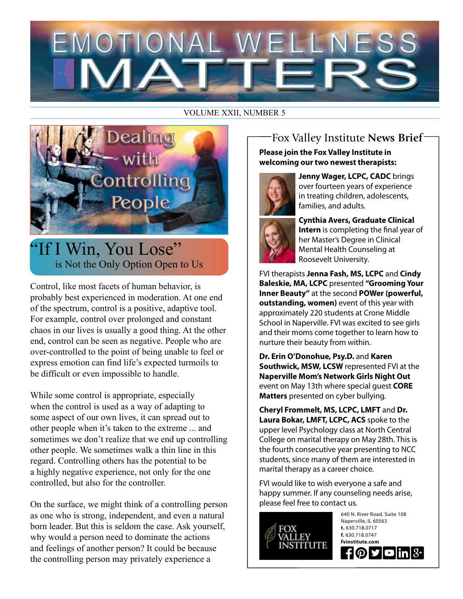# EMOTIONAL V ELNE

#### VOLUME XXII, NUMBER 5



## "If I Win, You Lose" is Not the Only Option Open to Us

Control, like most facets of human behavior, is probably best experienced in moderation. At one end of the spectrum, control is a positive, adaptive tool. For example, control over prolonged and constant chaos in our lives is usually a good thing. At the other end, control can be seen as negative. People who are over-controlled to the point of being unable to feel or express emotion can find life's expected turmoils to be difficult or even impossible to handle.

While some control is appropriate, especially when the control is used as a way of adapting to some aspect of our own lives, it can spread out to other people when it's taken to the extreme ... and sometimes we don't realize that we end up controlling other people. We sometimes walk a thin line in this regard. Controlling others has the potential to be a highly negative experience, not only for the one controlled, but also for the controller.

On the surface, we might think of a controlling person as one who is strong, independent, and even a natural born leader. But this is seldom the case. Ask yourself, why would a person need to dominate the actions and feelings of another person? It could be because the controlling person may privately experience a

### Fox Valley Institute **News Brief**

**Please join the Fox Valley Institute in welcoming our two newest therapists:** 



**Jenny Wager, LCPC, CADC** brings over fourteen years of experience in treating children, adolescents, families, and adults.

**Cynthia Avers, Graduate Clinical Intern** is completing the final year of her Master's Degree in Clinical Mental Health Counseling at Roosevelt University.

FVI therapists **Jenna Fash, MS, LCPC** and **Cindy Baleskie, MA, LCPC** presented **"Grooming Your Inner Beauty"** at the second **POWer (powerful, outstanding, women)** event of this year with approximately 220 students at Crone Middle School in Naperville. FVI was excited to see girls and their moms come together to learn how to nurture their beauty from within.

**Dr. Erin O'Donohue, Psy.D.** and **Karen Southwick, MSW, LCSW** represented FVI at the **Naperville Mom's Network Girls Night Out** event on May 13th where special guest **CORE Matters** presented on cyber bullying.

**Cheryl Frommelt, MS, LCPC, LMFT** and **Dr. Laura Bokar, LMFT, LCPC, ACS** spoke to the upper level Psychology class at North Central College on marital therapy on May 28th. This is the fourth consecutive year presenting to NCC students, since many of them are interested in marital therapy as a career choice.

FVI would like to wish everyone a safe and happy summer. If any counseling needs arise, please feel free to contact us.

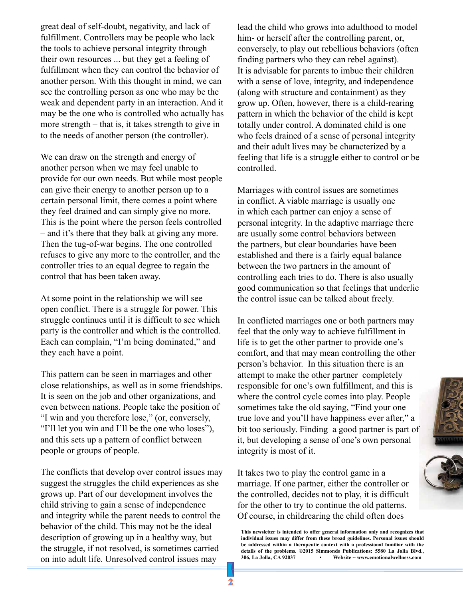great deal of self-doubt, negativity, and lack of fulfillment. Controllers may be people who lack the tools to achieve personal integrity through their own resources ... but they get a feeling of fulfillment when they can control the behavior of another person. With this thought in mind, we can see the controlling person as one who may be the weak and dependent party in an interaction. And it may be the one who is controlled who actually has more strength – that is, it takes strength to give in to the needs of another person (the controller).

We can draw on the strength and energy of another person when we may feel unable to provide for our own needs. But while most people can give their energy to another person up to a certain personal limit, there comes a point where they feel drained and can simply give no more. This is the point where the person feels controlled – and it's there that they balk at giving any more. Then the tug-of-war begins. The one controlled refuses to give any more to the controller, and the controller tries to an equal degree to regain the control that has been taken away.

At some point in the relationship we will see open conflict. There is a struggle for power. This struggle continues until it is difficult to see which party is the controller and which is the controlled. Each can complain, "I'm being dominated," and they each have a point.

This pattern can be seen in marriages and other close relationships, as well as in some friendships. It is seen on the job and other organizations, and even between nations. People take the position of "I win and you therefore lose," (or, conversely, "I'll let you win and I'll be the one who loses"), and this sets up a pattern of conflict between people or groups of people.

The conflicts that develop over control issues may suggest the struggles the child experiences as she grows up. Part of our development involves the child striving to gain a sense of independence and integrity while the parent needs to control the behavior of the child. This may not be the ideal description of growing up in a healthy way, but the struggle, if not resolved, is sometimes carried on into adult life. Unresolved control issues may

lead the child who grows into adulthood to model him- or herself after the controlling parent, or, conversely, to play out rebellious behaviors (often finding partners who they can rebel against). It is advisable for parents to imbue their children with a sense of love, integrity, and independence (along with structure and containment) as they grow up. Often, however, there is a child-rearing pattern in which the behavior of the child is kept totally under control. A dominated child is one who feels drained of a sense of personal integrity and their adult lives may be characterized by a feeling that life is a struggle either to control or be controlled.

Marriages with control issues are sometimes in conflict. A viable marriage is usually one in which each partner can enjoy a sense of personal integrity. In the adaptive marriage there are usually some control behaviors between the partners, but clear boundaries have been established and there is a fairly equal balance between the two partners in the amount of controlling each tries to do. There is also usually good communication so that feelings that underlie the control issue can be talked about freely.

In conflicted marriages one or both partners may feel that the only way to achieve fulfillment in life is to get the other partner to provide one's comfort, and that may mean controlling the other person's behavior. In this situation there is an attempt to make the other partner completely responsible for one's own fulfillment, and this is where the control cycle comes into play. People sometimes take the old saying, "Find your one true love and you'll have happiness ever after," a bit too seriously. Finding a good partner is part of it, but developing a sense of one's own personal integrity is most of it.

It takes two to play the control game in a marriage. If one partner, either the controller or the controlled, decides not to play, it is difficult for the other to try to continue the old patterns. Of course, in childrearing the child often does

**This newsletter is intended to offer general information only and recognizes that individual issues may differ from these broad guidelines. Personal issues should be addressed within a therapeutic context with a professional familiar with the**  details of the problems. ©2015 Simmonds Publications: 5580 La Jolla Blvd., 306, La Jolla, CA 92037 **·** Website ~ www.emotionalwellness.com **306, La Jolla, CA 92037 • Website ~ www.emotionalwellness.com**



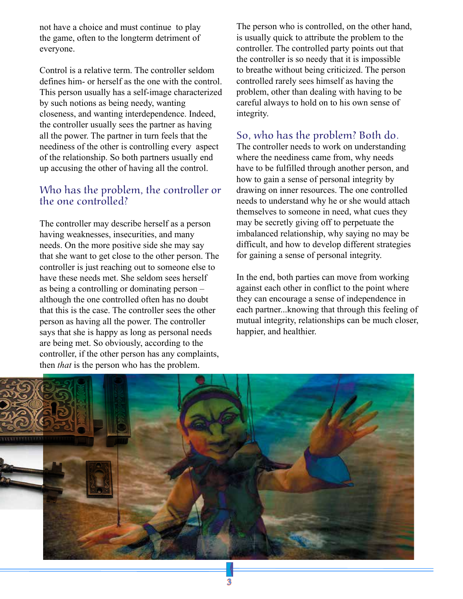not have a choice and must continue to play the game, often to the longterm detriment of everyone.

Control is a relative term. The controller seldom defines him- or herself as the one with the control. This person usually has a self-image characterized by such notions as being needy, wanting closeness, and wanting interdependence. Indeed, the controller usually sees the partner as having all the power. The partner in turn feels that the neediness of the other is controlling every aspect of the relationship. So both partners usually end up accusing the other of having all the control.

#### Who has the problem, the controller or the one controlled?

The controller may describe herself as a person having weaknesses, insecurities, and many needs. On the more positive side she may say that she want to get close to the other person. The controller is just reaching out to someone else to have these needs met. She seldom sees herself as being a controlling or dominating person – although the one controlled often has no doubt that this is the case. The controller sees the other person as having all the power. The controller says that she is happy as long as personal needs are being met. So obviously, according to the controller, if the other person has any complaints, then *that* is the person who has the problem.

The person who is controlled, on the other hand, is usually quick to attribute the problem to the controller. The controlled party points out that the controller is so needy that it is impossible to breathe without being criticized. The person controlled rarely sees himself as having the problem, other than dealing with having to be careful always to hold on to his own sense of integrity.

#### So, who has the problem? Both do.

The controller needs to work on understanding where the neediness came from, why needs have to be fulfilled through another person, and how to gain a sense of personal integrity by drawing on inner resources. The one controlled needs to understand why he or she would attach themselves to someone in need, what cues they may be secretly giving off to perpetuate the imbalanced relationship, why saying no may be difficult, and how to develop different strategies for gaining a sense of personal integrity.

In the end, both parties can move from working against each other in conflict to the point where they can encourage a sense of independence in each partner...knowing that through this feeling of mutual integrity, relationships can be much closer, happier, and healthier.